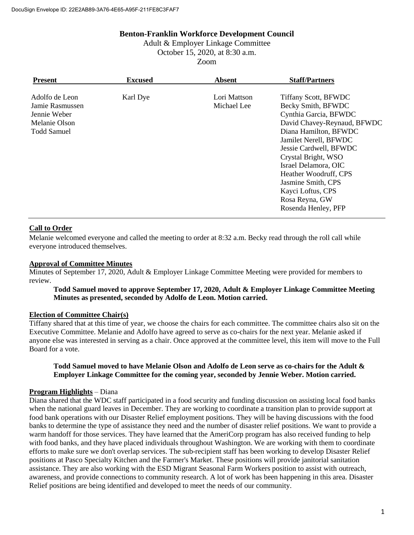### **Benton-Franklin Workforce Development Council**

Adult & Employer Linkage Committee October 15, 2020, at 8:30 a.m. Zoom

| <b>Present</b>                                                                           | <b>Excused</b> | <b>Absent</b>               | <b>Staff/Partners</b>                                                                                                                                                                                                                                                                                                                             |
|------------------------------------------------------------------------------------------|----------------|-----------------------------|---------------------------------------------------------------------------------------------------------------------------------------------------------------------------------------------------------------------------------------------------------------------------------------------------------------------------------------------------|
| Adolfo de Leon<br>Jamie Rasmussen<br>Jennie Weber<br>Melanie Olson<br><b>Todd Samuel</b> | Karl Dye       | Lori Mattson<br>Michael Lee | <b>Tiffany Scott, BFWDC</b><br>Becky Smith, BFWDC<br>Cynthia Garcia, BFWDC<br>David Chavey-Reynaud, BFWDC<br>Diana Hamilton, BFWDC<br>Jamilet Nerell, BFWDC<br>Jessie Cardwell, BFWDC<br>Crystal Bright, WSO<br>Israel Delamora, OIC<br>Heather Woodruff, CPS<br>Jasmine Smith, CPS<br>Kayci Loftus, CPS<br>Rosa Reyna, GW<br>Rosenda Henley, PFP |

## **Call to Order**

Melanie welcomed everyone and called the meeting to order at 8:32 a.m. Becky read through the roll call while everyone introduced themselves.

### **Approval of Committee Minutes**

Minutes of September 17, 2020, Adult & Employer Linkage Committee Meeting were provided for members to review.

### **Todd Samuel moved to approve September 17, 2020, Adult & Employer Linkage Committee Meeting Minutes as presented, seconded by Adolfo de Leon. Motion carried.**

### **Election of Committee Chair(s)**

Tiffany shared that at this time of year, we choose the chairs for each committee. The committee chairs also sit on the Executive Committee. Melanie and Adolfo have agreed to serve as co-chairs for the next year. Melanie asked if anyone else was interested in serving as a chair. Once approved at the committee level, this item will move to the Full Board for a vote.

### **Todd Samuel moved to have Melanie Olson and Adolfo de Leon serve as co-chairs for the Adult & Employer Linkage Committee for the coming year, seconded by Jennie Weber. Motion carried.**

### **Program Highlights** – Diana

Diana shared that the WDC staff participated in a food security and funding discussion on assisting local food banks when the national guard leaves in December. They are working to coordinate a transition plan to provide support at food bank operations with our Disaster Relief employment positions. They will be having discussions with the food banks to determine the type of assistance they need and the number of disaster relief positions. We want to provide a warm handoff for those services. They have learned that the AmeriCorp program has also received funding to help with food banks, and they have placed individuals throughout Washington. We are working with them to coordinate efforts to make sure we don't overlap services. The sub-recipient staff has been working to develop Disaster Relief positions at Pasco Specialty Kitchen and the Farmer's Market. These positions will provide janitorial sanitation assistance. They are also working with the ESD Migrant Seasonal Farm Workers position to assist with outreach, awareness, and provide connections to community research. A lot of work has been happening in this area. Disaster Relief positions are being identified and developed to meet the needs of our community.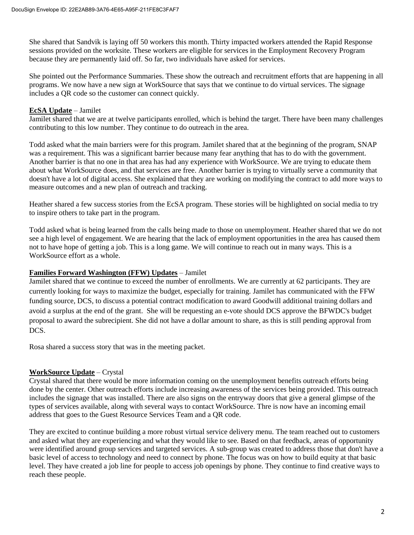She shared that Sandvik is laying off 50 workers this month. Thirty impacted workers attended the Rapid Response sessions provided on the worksite. These workers are eligible for services in the Employment Recovery Program because they are permanently laid off. So far, two individuals have asked for services.

She pointed out the Performance Summaries. These show the outreach and recruitment efforts that are happening in all programs. We now have a new sign at WorkSource that says that we continue to do virtual services. The signage includes a QR code so the customer can connect quickly.

### **EcSA Update** – Jamilet

Jamilet shared that we are at twelve participants enrolled, which is behind the target. There have been many challenges contributing to this low number. They continue to do outreach in the area.

Todd asked what the main barriers were for this program. Jamilet shared that at the beginning of the program, SNAP was a requirement. This was a significant barrier because many fear anything that has to do with the government. Another barrier is that no one in that area has had any experience with WorkSource. We are trying to educate them about what WorkSource does, and that services are free. Another barrier is trying to virtually serve a community that doesn't have a lot of digital access. She explained that they are working on modifying the contract to add more ways to measure outcomes and a new plan of outreach and tracking.

Heather shared a few success stories from the EcSA program. These stories will be highlighted on social media to try to inspire others to take part in the program.

Todd asked what is being learned from the calls being made to those on unemployment. Heather shared that we do not see a high level of engagement. We are hearing that the lack of employment opportunities in the area has caused them not to have hope of getting a job. This is a long game. We will continue to reach out in many ways. This is a WorkSource effort as a whole.

### **Families Forward Washington (FFW) Updates** – Jamilet

Jamilet shared that we continue to exceed the number of enrollments. We are currently at 62 participants. They are currently looking for ways to maximize the budget, especially for training. Jamilet has communicated with the FFW funding source, DCS, to discuss a potential contract modification to award Goodwill additional training dollars and avoid a surplus at the end of the grant. She will be requesting an e-vote should DCS approve the BFWDC's budget proposal to award the subrecipient. She did not have a dollar amount to share, as this is still pending approval from DCS.

Rosa shared a success story that was in the meeting packet.

### **WorkSource Update** – Crystal

Crystal shared that there would be more information coming on the unemployment benefits outreach efforts being done by the center. Other outreach efforts include increasing awareness of the services being provided. This outreach includes the signage that was installed. There are also signs on the entryway doors that give a general glimpse of the types of services available, along with several ways to contact WorkSource. Thre is now have an incoming email address that goes to the Guest Resource Services Team and a QR code.

They are excited to continue building a more robust virtual service delivery menu. The team reached out to customers and asked what they are experiencing and what they would like to see. Based on that feedback, areas of opportunity were identified around group services and targeted services. A sub-group was created to address those that don't have a basic level of access to technology and need to connect by phone. The focus was on how to build equity at that basic level. They have created a job line for people to access job openings by phone. They continue to find creative ways to reach these people.